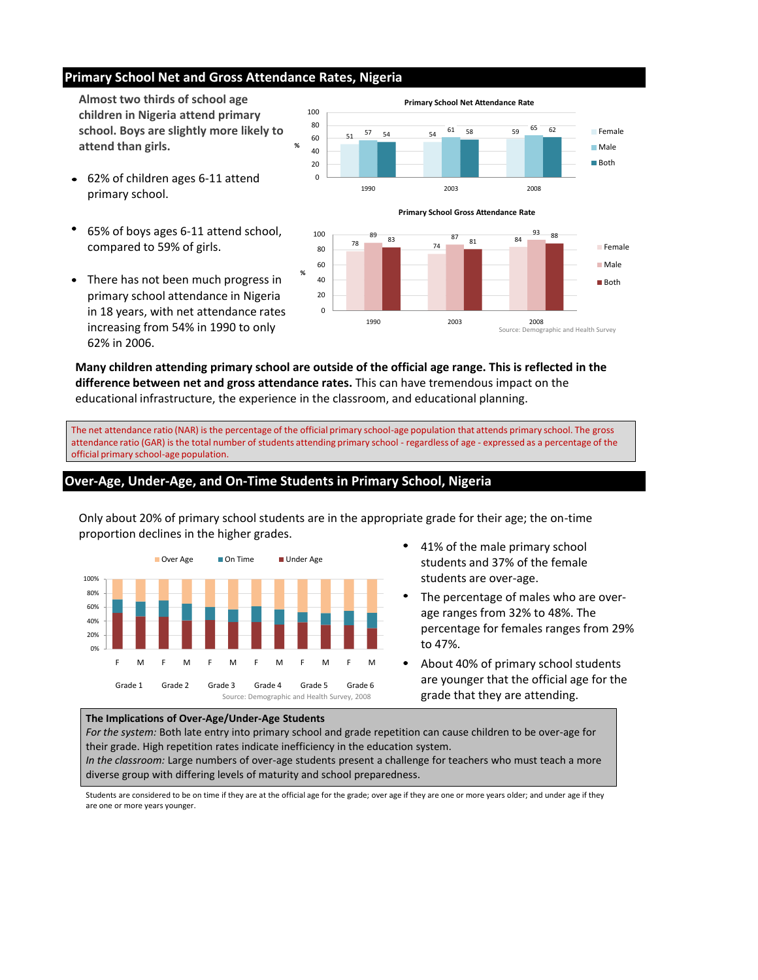### **Primary School Net and Gross Attendance Rates, Nigeria**

### **Over-Age, Under-Age, and On-Time Students in Primary School, Nigeria**



**%**





**Almost two thirds of school age children in Nigeria attend primary school. Boys are slightly more likely to attend than girls.** 

**Many children attending primary school are outside of the official age range. This is reflected in the difference between net and gross attendance rates.** This can have tremendous impact on the educational infrastructure, the experience in the classroom, and educational planning.

The net attendance ratio (NAR) is the percentage of the official primary school-age population that attends primary school. The gross attendance ratio (GAR) is the total number of students attending primary school - regardless of age - expressed as a percentage of the official primary school-age population.



- 62% of children ages 6-11 attend  $\bullet$ primary school.
- 65% of boys ages 6-11 attend school, compared to 59% of girls.
- There has not been much progress in  $\bullet$ primary school attendance in Nigeria in 18 years, with net attendance rates increasing from 54% in 1990 to only 62% in 2006.

Only about 20% of primary school students are in the appropriate grade for their age; the on-time proportion declines in the higher grades.

- 41% of the male primary school  $\bullet$ students and 37% of the female students are over-age.
- The percentage of males who are overage ranges from 32% to 48%. The percentage for females ranges from 29% to 47%.

### **The Implications of Over-Age/Under-Age Students**

*For the system:* Both late entry into primary school and grade repetition can cause children to be over-age for their grade. High repetition rates indicate inefficiency in the education system.

*In the classroom:* Large numbers of over-age students present a challenge for teachers who must teach a more diverse group with differing levels of maturity and school preparedness.

Students are considered to be on time if they are at the official age for the grade; over age if they are one or more years older; and under age if they are one or more years younger.

- 
- About 40% of primary school students are younger that the official age for the grade that they are attending.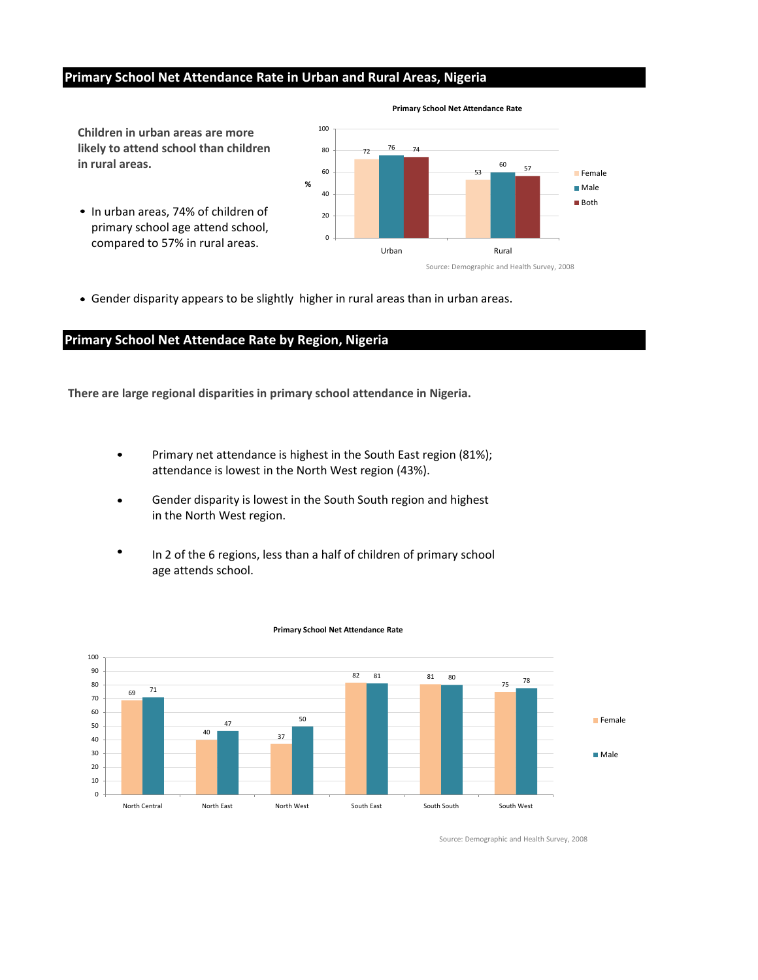## **Primary School Net Attendance Rate in Urban and Rural Areas, Nigeria**

### **Primary School Net Attendace Rate by Region, Nigeria**

**Children in urban areas are more** 

**likely to attend school than children** 

• In urban areas, 74% of children of primary school age attend school, compared to 57% in rural areas.

**in rural areas.**



**Primary School Net Attendance Rate**

**There are large regional disparities in primary school attendance in Nigeria.**



Source: Demographic and Health Survey, 2008

- Source: Demographic and Health Survey, 2008
- Gender disparity appears to be slightly higher in rural areas than in urban areas.

- Primary net attendance is highest in the South East region (81%);  $\bullet$ attendance is lowest in the North West region (43%).
- Gender disparity is lowest in the South South region and highest in the North West region.
- In 2 of the 6 regions, less than a half of children of primary school age attends school.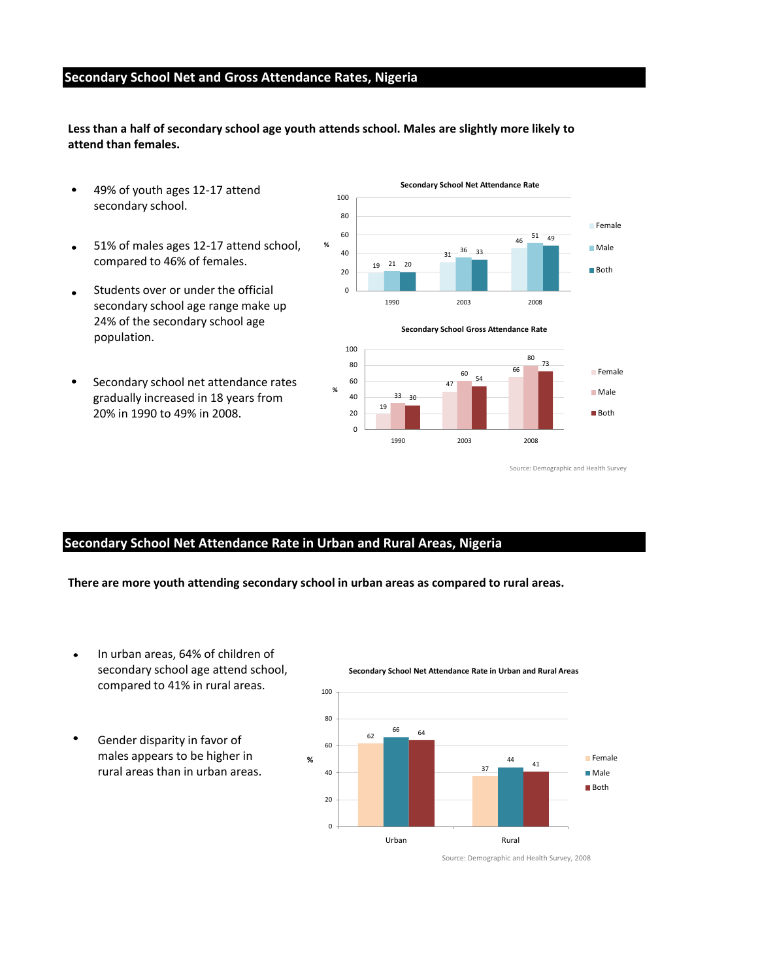### **Secondary School Net and Gross Attendance Rates, Nigeria**

# **Secondary School Net Attendance Rate in Urban and Rural Areas, Nigeria**

**Less than a half of secondary school age youth attends school. Males are slightly more likely to attend than females.**





Source: Demographic and Health Survey



#### **Secondary School Net Attendance Rate in Urban and Rural Areas**



Source: Demographic and Health Survey, 2008

**There are more youth attending secondary school in urban areas as compared to rural areas.**

- 49% of youth ages 12-17 attend  $\bullet$ secondary school.
- 51% of males ages 12-17 attend school,  $\bullet$ compared to 46% of females.
- Students over or under the official  $\bullet$ secondary school age range make up 24% of the secondary school age population.
- Secondary school net attendance rates  $\bullet$ gradually increased in 18 years from 20% in 1990 to 49% in 2008.

- In urban areas, 64% of children of  $\bullet$ secondary school age attend school, compared to 41% in rural areas.
- Gender disparity in favor of  $\bullet$ males appears to be higher in rural areas than in urban areas.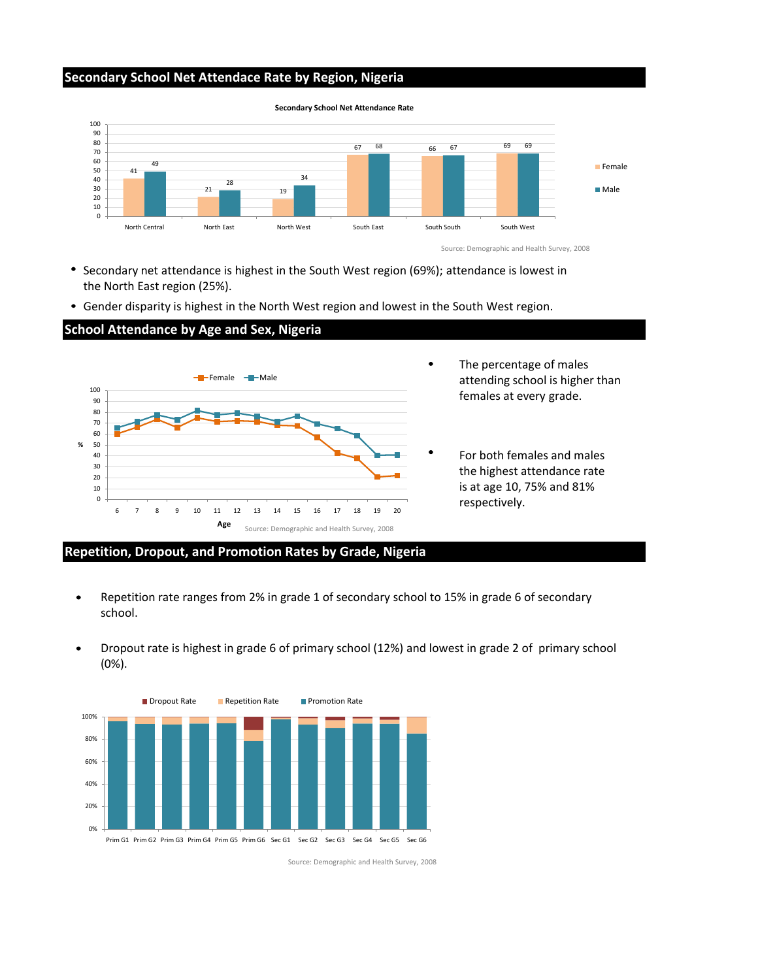## **Secondary School Net Attendace Rate by Region, Nigeria**

# **School Attendance by Age and Sex, Nigeria**

### **Repetition, Dropout, and Promotion Rates by Grade, Nigeria**





Secondary net attendance is highest in the South West region (69%); attendance is lowest in the North East region (25%).

Gender disparity is highest in the North West region and lowest in the South West region.

- Repetition rate ranges from 2% in grade 1 of secondary school to 15% in grade 6 of secondary  $\bullet$ school.
	-
- Dropout rate is highest in grade 6 of primary school (12%) and lowest in grade 2 of primary school (0%).

Source: Demographic and Health Survey, 2008

- The percentage of males attending school is higher than females at every grade.
- For both females and males the highest attendance rate is at age 10, 75% and 81% respectively.



**Secondary School Net Attendance Rate**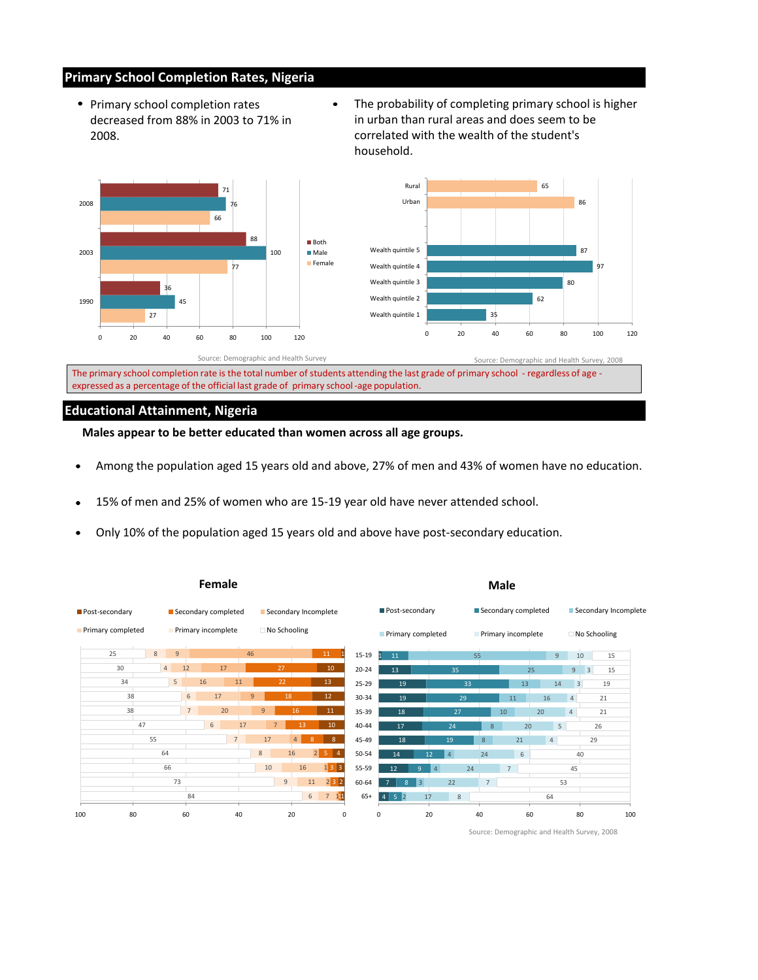# **Primary School Completion Rates, Nigeria**

### **Educational Attainment, Nigeria**

- Primary school completion rates decreased from 88% in 2003 to 71% in 2008.
- The probability of completing primary school is higher in urban than rural areas and does seem to be correlated with the wealth of the student's household.

| 25  | $8\phantom{1}$<br>9 |             |                 | 46             |                |                     | 11              | 15-19     | 11<br>$1^{\circ}$                |                     |                 | 55             |                | 9  |                 | 10<br>15             |
|-----|---------------------|-------------|-----------------|----------------|----------------|---------------------|-----------------|-----------|----------------------------------|---------------------|-----------------|----------------|----------------|----|-----------------|----------------------|
| 30  | 4                   | 12          | 17              |                | 27             |                     | 10 <sup>°</sup> | $20 - 24$ | 13                               |                     | 35              |                |                | 25 | 9               | 3 <br>15             |
| 34  | 5 <sup>1</sup>      | 16          |                 | 11             | 22             |                     | 13              | 25-29     | 19                               |                     | 33              |                | 13             | 14 |                 | 19<br>3 <sup>1</sup> |
| 38  |                     | 6           | 17              | 9              | 18             |                     | 12 <sup>7</sup> | 30-34     | 19                               |                     | 29              |                | 11             | 16 | $\vert 4 \vert$ | 21                   |
| 38  |                     | $7^{\circ}$ | 20              | 9 <sup>°</sup> |                | 16                  | 11              | 35-39     | 18                               |                     | 27              |                | 10             | 20 | 4               | 21                   |
|     | 47                  |             | 6               | $17$           | 7 <sup>7</sup> | 13                  | 10 <sup>°</sup> | 40-44     | 17                               |                     | 24              | $\bf 8$        | 20             |    | 5 <sup>1</sup>  | 26                   |
|     | 55                  |             | $7\overline{ }$ | 17             |                | 4<br>8 <sup>°</sup> | 8 <sup>°</sup>  | 45-49     | 18                               |                     | 19              | 8 <sup>°</sup> | 21             | 4  |                 | 29                   |
|     | 64                  |             |                 | $8\phantom{1}$ | 16             |                     |                 | 50-54     | 14                               | $12\,$              | $\vert 4 \vert$ | 24             | 6              |    |                 | 40                   |
|     | 66                  |             |                 | 10             |                | 16                  |                 | 55-59     | 12                               | 4<br>9 <sup>°</sup> | 24              |                | 7 <sup>7</sup> |    | 45              |                      |
|     | 73                  |             |                 |                | 9              | 11                  | $232$           | 60-64     | $\overline{7}$<br>8 <sup>°</sup> | 3                   | 22              | $7^{\circ}$    |                |    | 53              |                      |
|     |                     | 84          |                 |                |                | 6 <sup>1</sup>      | $7 \t11$        | $65+$     |                                  | $17$                | 8               |                |                | 64 |                 |                      |
| 100 | 80                  | 60          |                 | 40             | 20             |                     | $\mathbf 0$     |           | $\mathbf 0$                      | 20                  |                 | 40             |                | 60 |                 | 80<br>100            |

- Among the population aged 15 years old and above, 27% of men and 43% of women have no education.  $\bullet$
- 15% of men and 25% of women who are 15-19 year old have never attended school. $\bullet$
- Only 10% of the population aged 15 years old and above have post-secondary education.  $\bullet$

|                   | Female              |                      | <b>Male</b>       |                     |                      |  |  |  |  |  |
|-------------------|---------------------|----------------------|-------------------|---------------------|----------------------|--|--|--|--|--|
| Post-secondary    | Secondary completed | Secondary Incomplete | Post-secondary    | Secondary completed | Secondary Incomplete |  |  |  |  |  |
| Primary completed | Primary incomplete  | No Schooling         | Primary completed | Primary incomplete  | No Schooling         |  |  |  |  |  |



 $\bullet$ 

Source: Demographic and Health Survey, 2008

**Males appear to be better educated than women across all age groups.**

The primary school completion rate is the total number of students attending the last grade of primary school - regardless of age expressed as a percentage of the official last grade of primary school-age population.